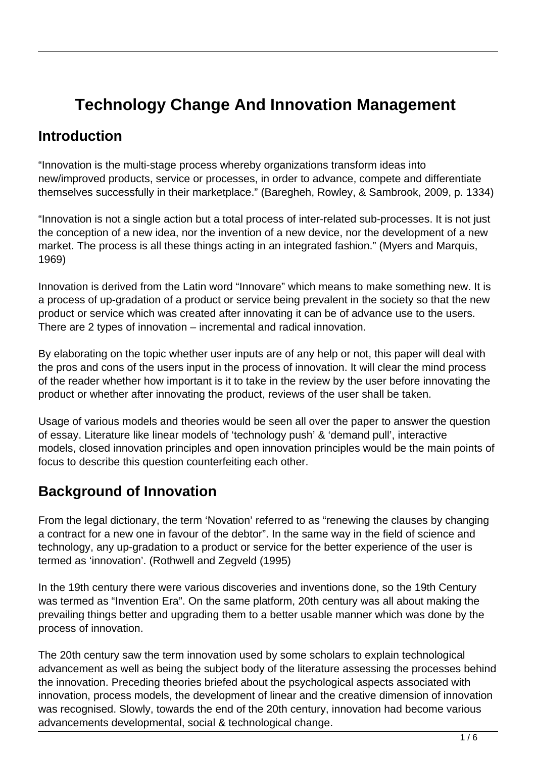# **Technology Change And Innovation Management**

## **Introduction**

"Innovation is the multi-stage process whereby organizations transform ideas into new/improved products, service or processes, in order to advance, compete and differentiate themselves successfully in their marketplace." (Baregheh, Rowley, & Sambrook, 2009, p. 1334)

"Innovation is not a single action but a total process of inter-related sub-processes. It is not just the conception of a new idea, nor the invention of a new device, nor the development of a new market. The process is all these things acting in an integrated fashion." (Myers and Marquis, 1969)

Innovation is derived from the Latin word "Innovare" which means to make something new. It is a process of up-gradation of a product or service being prevalent in the society so that the new product or service which was created after innovating it can be of advance use to the users. There are 2 types of innovation – incremental and radical innovation.

By elaborating on the topic whether user inputs are of any help or not, this paper will deal with the pros and cons of the users input in the process of innovation. It will clear the mind process of the reader whether how important is it to take in the review by the user before innovating the product or whether after innovating the product, reviews of the user shall be taken.

Usage of various models and theories would be seen all over the paper to answer the question of essay. Literature like linear models of 'technology push' & 'demand pull', interactive models, closed innovation principles and open innovation principles would be the main points of focus to describe this question counterfeiting each other.

## **Background of Innovation**

From the legal dictionary, the term 'Novation' referred to as "renewing the clauses by changing a contract for a new one in favour of the debtor". In the same way in the field of science and technology, any up-gradation to a product or service for the better experience of the user is termed as 'innovation'. (Rothwell and Zegveld (1995)

In the 19th century there were various discoveries and inventions done, so the 19th Century was termed as "Invention Era". On the same platform, 20th century was all about making the prevailing things better and upgrading them to a better usable manner which was done by the process of innovation.

The 20th century saw the term innovation used by some scholars to explain technological advancement as well as being the subject body of the literature assessing the processes behind the innovation. Preceding theories briefed about the psychological aspects associated with innovation, process models, the development of linear and the creative dimension of innovation was recognised. Slowly, towards the end of the 20th century, innovation had become various advancements developmental, social & technological change.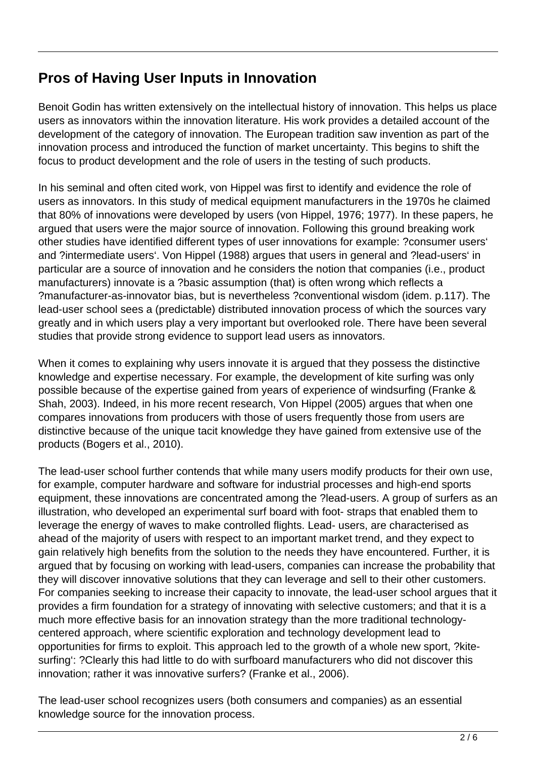## **Pros of Having User Inputs in Innovation**

Benoit Godin has written extensively on the intellectual history of innovation. This helps us place users as innovators within the innovation literature. His work provides a detailed account of the development of the category of innovation. The European tradition saw invention as part of the innovation process and introduced the function of market uncertainty. This begins to shift the focus to product development and the role of users in the testing of such products.

In his seminal and often cited work, von Hippel was first to identify and evidence the role of users as innovators. In this study of medical equipment manufacturers in the 1970s he claimed that 80% of innovations were developed by users (von Hippel, 1976; 1977). In these papers, he argued that users were the major source of innovation. Following this ground breaking work other studies have identified different types of user innovations for example: ?consumer users' and ?intermediate users'. Von Hippel (1988) argues that users in general and ?lead-users' in particular are a source of innovation and he considers the notion that companies (i.e., product manufacturers) innovate is a ?basic assumption (that) is often wrong which reflects a ?manufacturer-as-innovator bias, but is nevertheless ?conventional wisdom (idem. p.117). The lead-user school sees a (predictable) distributed innovation process of which the sources vary greatly and in which users play a very important but overlooked role. There have been several studies that provide strong evidence to support lead users as innovators.

When it comes to explaining why users innovate it is argued that they possess the distinctive knowledge and expertise necessary. For example, the development of kite surfing was only possible because of the expertise gained from years of experience of windsurfing (Franke & Shah, 2003). Indeed, in his more recent research, Von Hippel (2005) argues that when one compares innovations from producers with those of users frequently those from users are distinctive because of the unique tacit knowledge they have gained from extensive use of the products (Bogers et al., 2010).

The lead-user school further contends that while many users modify products for their own use, for example, computer hardware and software for industrial processes and high-end sports equipment, these innovations are concentrated among the ?lead-users. A group of surfers as an illustration, who developed an experimental surf board with foot- straps that enabled them to leverage the energy of waves to make controlled flights. Lead- users, are characterised as ahead of the majority of users with respect to an important market trend, and they expect to gain relatively high benefits from the solution to the needs they have encountered. Further, it is argued that by focusing on working with lead-users, companies can increase the probability that they will discover innovative solutions that they can leverage and sell to their other customers. For companies seeking to increase their capacity to innovate, the lead-user school argues that it provides a firm foundation for a strategy of innovating with selective customers; and that it is a much more effective basis for an innovation strategy than the more traditional technologycentered approach, where scientific exploration and technology development lead to opportunities for firms to exploit. This approach led to the growth of a whole new sport, ?kitesurfing': ?Clearly this had little to do with surfboard manufacturers who did not discover this innovation; rather it was innovative surfers? (Franke et al., 2006).

The lead-user school recognizes users (both consumers and companies) as an essential knowledge source for the innovation process.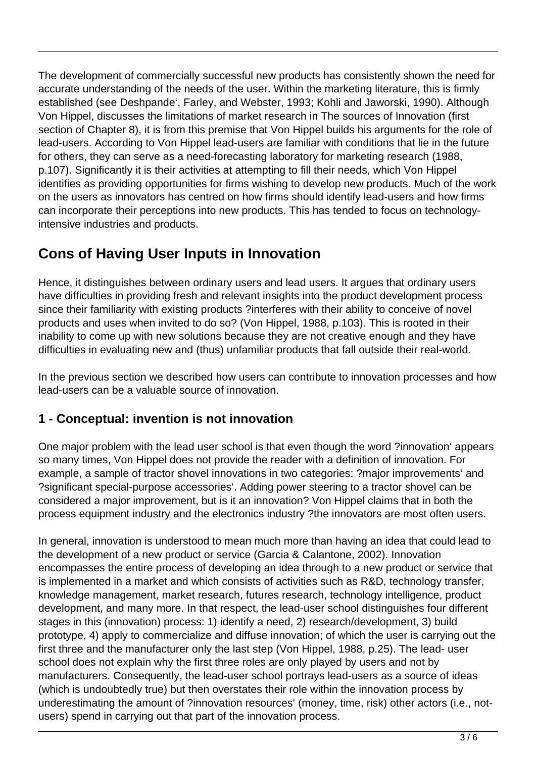The development of commercially successful new products has consistently shown the need for accurate understanding of the needs of the user. Within the marketing literature, this is firmly established (see Deshpande', Farley, and Webster, 1993; Kohli and Jaworski, 1990). Although Von Hippel, discusses the limitations of market research in The sources of Innovation (first section of Chapter 8), it is from this premise that Von Hippel builds his arguments for the role of lead-users. According to Von Hippel lead-users are familiar with conditions that lie in the future for others, they can serve as a need-forecasting laboratory for marketing research (1988, p.107). Significantly it is their activities at attempting to fill their needs, which Von Hippel identifies as providing opportunities for firms wishing to develop new products. Much of the work on the users as innovators has centred on how firms should identify lead-users and how firms can incorporate their perceptions into new products. This has tended to focus on technologyintensive industries and products.

# **Cons of Having User Inputs in Innovation**

Hence, it distinguishes between ordinary users and lead users. It argues that ordinary users have difficulties in providing fresh and relevant insights into the product development process since their familiarity with existing products ?interferes with their ability to conceive of novel products and uses when invited to do so? (Von Hippel, 1988, p.103). This is rooted in their inability to come up with new solutions because they are not creative enough and they have difficulties in evaluating new and (thus) unfamiliar products that fall outside their real-world.

In the previous section we described how users can contribute to innovation processes and how lead-users can be a valuable source of innovation.

## **1 - Conceptual: invention is not innovation**

One major problem with the lead user school is that even though the word ?innovation' appears so many times, Von Hippel does not provide the reader with a definition of innovation. For example, a sample of tractor shovel innovations in two categories: ?major improvements' and ?significant special-purpose accessories'. Adding power steering to a tractor shovel can be considered a major improvement, but is it an innovation? Von Hippel claims that in both the process equipment industry and the electronics industry ?the innovators are most often users.

In general, innovation is understood to mean much more than having an idea that could lead to the development of a new product or service (Garcia & Calantone, 2002). Innovation encompasses the entire process of developing an idea through to a new product or service that is implemented in a market and which consists of activities such as R&D, technology transfer, knowledge management, market research, futures research, technology intelligence, product development, and many more. In that respect, the lead-user school distinguishes four different stages in this (innovation) process: 1) identify a need, 2) research/development, 3) build prototype, 4) apply to commercialize and diffuse innovation; of which the user is carrying out the first three and the manufacturer only the last step (Von Hippel, 1988, p.25). The lead- user school does not explain why the first three roles are only played by users and not by manufacturers. Consequently, the lead-user school portrays lead-users as a source of ideas (which is undoubtedly true) but then overstates their role within the innovation process by underestimating the amount of ?innovation resources' (money, time, risk) other actors (i.e., notusers) spend in carrying out that part of the innovation process.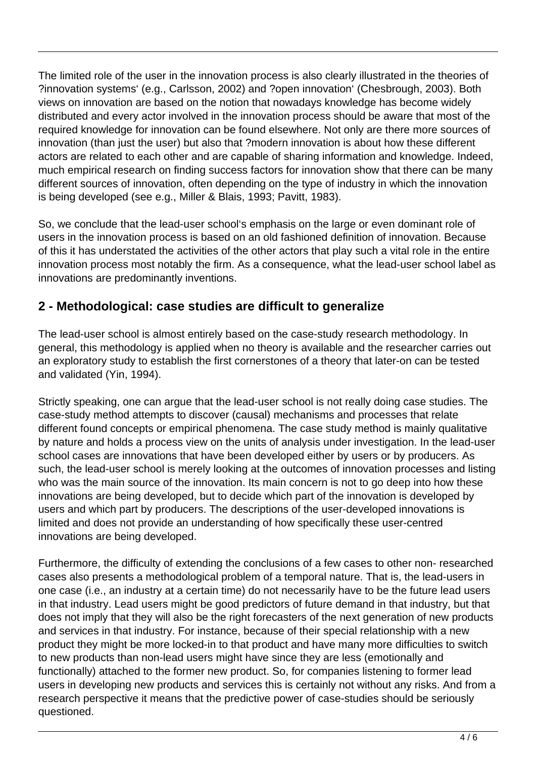The limited role of the user in the innovation process is also clearly illustrated in the theories of ?innovation systems' (e.g., Carlsson, 2002) and ?open innovation' (Chesbrough, 2003). Both views on innovation are based on the notion that nowadays knowledge has become widely distributed and every actor involved in the innovation process should be aware that most of the required knowledge for innovation can be found elsewhere. Not only are there more sources of innovation (than just the user) but also that ?modern innovation is about how these different actors are related to each other and are capable of sharing information and knowledge. Indeed, much empirical research on finding success factors for innovation show that there can be many different sources of innovation, often depending on the type of industry in which the innovation is being developed (see e.g., Miller & Blais, 1993; Pavitt, 1983).

So, we conclude that the lead-user school's emphasis on the large or even dominant role of users in the innovation process is based on an old fashioned definition of innovation. Because of this it has understated the activities of the other actors that play such a vital role in the entire innovation process most notably the firm. As a consequence, what the lead-user school label as innovations are predominantly inventions.

### **2 - Methodological: case studies are difficult to generalize**

The lead-user school is almost entirely based on the case-study research methodology. In general, this methodology is applied when no theory is available and the researcher carries out an exploratory study to establish the first cornerstones of a theory that later-on can be tested and validated (Yin, 1994).

Strictly speaking, one can argue that the lead-user school is not really doing case studies. The case-study method attempts to discover (causal) mechanisms and processes that relate different found concepts or empirical phenomena. The case study method is mainly qualitative by nature and holds a process view on the units of analysis under investigation. In the lead-user school cases are innovations that have been developed either by users or by producers. As such, the lead-user school is merely looking at the outcomes of innovation processes and listing who was the main source of the innovation. Its main concern is not to go deep into how these innovations are being developed, but to decide which part of the innovation is developed by users and which part by producers. The descriptions of the user-developed innovations is limited and does not provide an understanding of how specifically these user-centred innovations are being developed.

Furthermore, the difficulty of extending the conclusions of a few cases to other non- researched cases also presents a methodological problem of a temporal nature. That is, the lead-users in one case (i.e., an industry at a certain time) do not necessarily have to be the future lead users in that industry. Lead users might be good predictors of future demand in that industry, but that does not imply that they will also be the right forecasters of the next generation of new products and services in that industry. For instance, because of their special relationship with a new product they might be more locked-in to that product and have many more difficulties to switch to new products than non-lead users might have since they are less (emotionally and functionally) attached to the former new product. So, for companies listening to former lead users in developing new products and services this is certainly not without any risks. And from a research perspective it means that the predictive power of case-studies should be seriously questioned.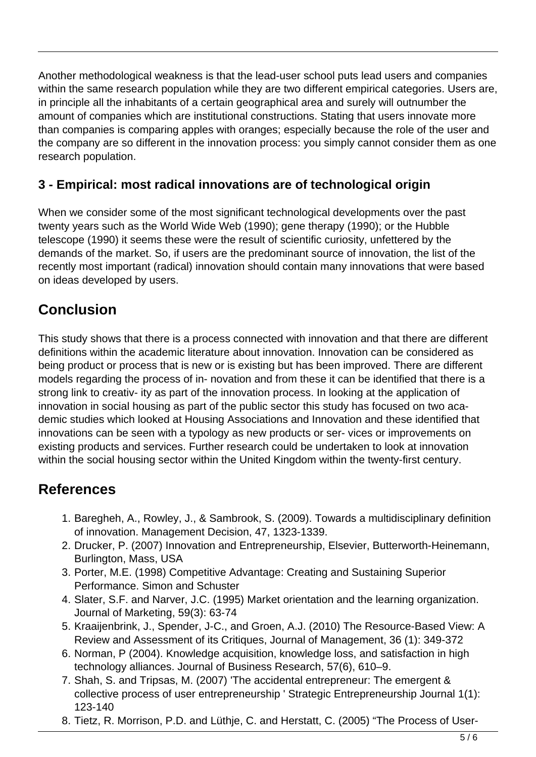Another methodological weakness is that the lead-user school puts lead users and companies within the same research population while they are two different empirical categories. Users are, in principle all the inhabitants of a certain geographical area and surely will outnumber the amount of companies which are institutional constructions. Stating that users innovate more than companies is comparing apples with oranges; especially because the role of the user and the company are so different in the innovation process: you simply cannot consider them as one research population.

#### **3 - Empirical: most radical innovations are of technological origin**

When we consider some of the most significant technological developments over the past twenty years such as the World Wide Web (1990); gene therapy (1990); or the Hubble telescope (1990) it seems these were the result of scientific curiosity, unfettered by the demands of the market. So, if users are the predominant source of innovation, the list of the recently most important (radical) innovation should contain many innovations that were based on ideas developed by users.

## **Conclusion**

This study shows that there is a process connected with innovation and that there are different definitions within the academic literature about innovation. Innovation can be considered as being product or process that is new or is existing but has been improved. There are different models regarding the process of in- novation and from these it can be identified that there is a strong link to creativ- ity as part of the innovation process. In looking at the application of innovation in social housing as part of the public sector this study has focused on two academic studies which looked at Housing Associations and Innovation and these identified that innovations can be seen with a typology as new products or ser- vices or improvements on existing products and services. Further research could be undertaken to look at innovation within the social housing sector within the United Kingdom within the twenty-first century.

## **References**

- 1. Baregheh, A., Rowley, J., & Sambrook, S. (2009). Towards a multidisciplinary definition of innovation. Management Decision, 47, 1323-1339.
- 2. Drucker, P. (2007) Innovation and Entrepreneurship, Elsevier, Butterworth-Heinemann, Burlington, Mass, USA
- 3. Porter, M.E. (1998) Competitive Advantage: Creating and Sustaining Superior Performance. Simon and Schuster
- 4. Slater, S.F. and Narver, J.C. (1995) Market orientation and the learning organization. Journal of Marketing, 59(3): 63-74
- 5. Kraaijenbrink, J., Spender, J-C., and Groen, A.J. (2010) The Resource-Based View: A Review and Assessment of its Critiques, Journal of Management, 36 (1): 349-372
- 6. Norman, P (2004). Knowledge acquisition, knowledge loss, and satisfaction in high technology alliances. Journal of Business Research, 57(6), 610–9.
- 7. Shah, S. and Tripsas, M. (2007) 'The accidental entrepreneur: The emergent & collective process of user entrepreneurship ' Strategic Entrepreneurship Journal 1(1): 123-140
- 8. Tietz, R. Morrison, P.D. and Lüthje, C. and Herstatt, C. (2005) "The Process of User-